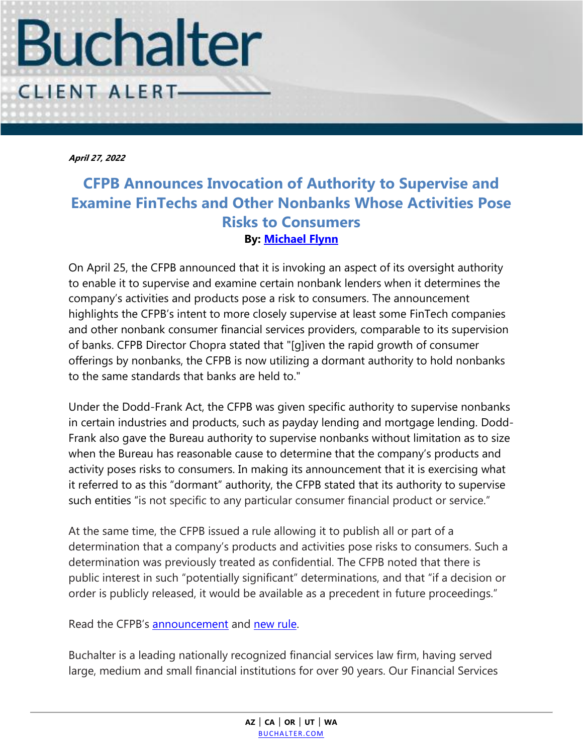

**April 27, 2022**

# **CFPB Announces Invocation of Authority to Supervise and Examine FinTechs and Other Nonbanks Whose Activities Pose Risks to Consumers By: [Michael Flynn](https://www.buchalter.com/attorneys/michael-c-flynn/#bio)**

On April 25, the CFPB announced that it is invoking an aspect of its oversight authority to enable it to supervise and examine certain nonbank lenders when it determines the company's activities and products pose a risk to consumers. The announcement highlights the CFPB's intent to more closely supervise at least some FinTech companies and other nonbank consumer financial services providers, comparable to its supervision of banks. CFPB Director Chopra stated that "[g]iven the rapid growth of consumer offerings by nonbanks, the CFPB is now utilizing a dormant authority to hold nonbanks to the same standards that banks are held to."

Under the Dodd-Frank Act, the CFPB was given specific authority to supervise nonbanks in certain industries and products, such as payday lending and mortgage lending. Dodd-Frank also gave the Bureau authority to supervise nonbanks without limitation as to size when the Bureau has reasonable cause to determine that the company's products and activity poses risks to consumers. In making its announcement that it is exercising what it referred to as this "dormant" authority, the CFPB stated that its authority to supervise such entities "is not specific to any particular consumer financial product or service."

At the same time, the CFPB issued a rule allowing it to publish all or part of a determination that a company's products and activities pose risks to consumers. Such a determination was previously treated as confidential. The CFPB noted that there is public interest in such "potentially significant" determinations, and that "if a decision or order is publicly released, it would be available as a precedent in future proceedings."

Read the CFPB's [announcement](https://www.consumerfinance.gov/about-us/newsroom/cfpb-invokes-dormant-authority-to-examine-nonbank-companies-posing-risks-to-consumers/) and [new rule.](https://files.consumerfinance.gov/f/documents/cfpb_public-release-of-decisions-and-orders_procedural-rule_2022-04.pdf)

Buchalter is a leading nationally recognized financial services law firm, having served large, medium and small financial institutions for over 90 years. Our Financial Services